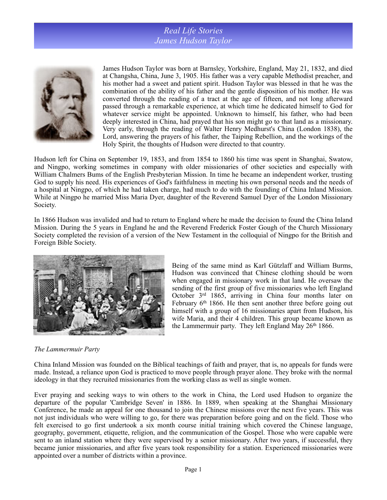## *Real Life Stories James Hudson Taylor*



James Hudson Taylor was born at Barnsley, Yorkshire, England, May 21, 1832, and died at Changsha, China, June 3, 1905. His father was a very capable Methodist preacher, and his mother had a sweet and patient spirit. Hudson Taylor was blessed in that he was the combination of the ability of his father and the gentle disposition of his mother. He was converted through the reading of a tract at the age of fifteen, and not long afterward passed through a remarkable experience, at which time he dedicated himself to God for whatever service might be appointed. Unknown to himself, his father, who had been deeply interested in China, had prayed that his son might go to that land as a missionary. Very early, through the reading of Walter Henry Medhurst's China (London 1838), the Lord, answering the prayers of his father, the Taiping Rebellion, and the workings of the Holy Spirit, the thoughts of Hudson were directed to that country.

Hudson left for China on September 19, 1853, and from 1854 to 1860 his time was spent in Shanghai, Swatow, and Ningpo, working sometimes in company with older missionaries of other societies and especially with William Chalmers Bums of the English Presbyterian Mission. In time he became an independent worker, trusting God to supply his need. His experiences of God's faithfulness in meeting his own personal needs and the needs of a hospital at Ningpo, of which he had taken charge, had much to do with the founding of China Inland Mission. While at Ningpo he married Miss Maria Dyer, daughter of the Reverend Samuel Dyer of the London Missionary Society.

In 1866 Hudson was invalided and had to return to England where he made the decision to found the China Inland Mission. During the 5 years in England he and the Reverend Frederick Foster Gough of the Church Missionary Society completed the revision of a version of the New Testament in the colloquial of Ningpo for the British and Foreign Bible Society.



Being of the same mind as Karl Gützlaff and William Burms, Hudson was convinced that Chinese clothing should be worn when engaged in missionary work in that land. He oversaw the sending of the first group of five missionaries who left England October 3rd 1865, arriving in China four months later on February 6<sup>th</sup> 1866. He then sent another three before going out himself with a group of 16 missionaries apart from Hudson, his wife Maria, and their 4 children. This group became known as the Lammermuir party. They left England May 26th 1866.

## *The Lammermuir Party*

China Inland Mission was founded on the Biblical teachings of faith and prayer, that is, no appeals for funds were made. Instead, a reliance upon God is practiced to move people through prayer alone. They broke with the normal ideology in that they recruited missionaries from the working class as well as single women.

Ever praying and seeking ways to win others to the work in China, the Lord used Hudson to organize the departure of the popular 'Cambridge Seven' in 1886. In 1889, when speaking at the Shanghai Missionary Conference, he made an appeal for one thousand to join the Chinese missions over the next five years. This was not just individuals who were willing to go, for there was preparation before going and on the field. Those who felt exercised to go first undertook a six month course initial training which covered the Chinese language, geography, government, etiquette, religion, and the communication of the Gospel. Those who were capable were sent to an inland station where they were supervised by a senior missionary. After two years, if successful, they became junior missionaries, and after five years took responsibility for a station. Experienced missionaries were appointed over a number of districts within a province.